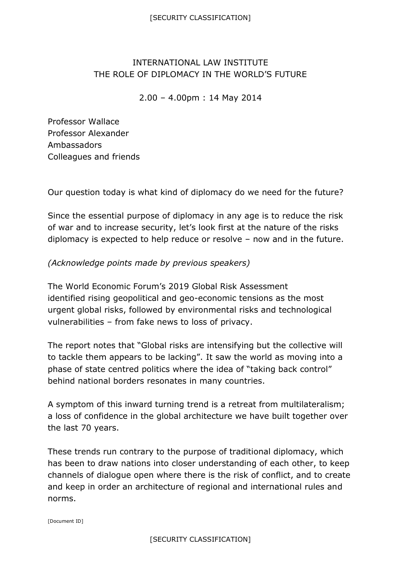## INTERNATIONAL LAW INSTITUTE THE ROLE OF DIPLOMACY IN THE WORLD'S FUTURE

2.00 – 4.00pm : 14 May 2014

Professor Wallace Professor Alexander Ambassadors Colleagues and friends

Our question today is what kind of diplomacy do we need for the future?

Since the essential purpose of diplomacy in any age is to reduce the risk of war and to increase security, let's look first at the nature of the risks diplomacy is expected to help reduce or resolve – now and in the future.

## *(Acknowledge points made by previous speakers)*

The World Economic Forum's 2019 Global Risk Assessment identified rising geopolitical and geo-economic tensions as the most urgent global risks, followed by environmental risks and technological vulnerabilities – from fake news to loss of privacy.

The report notes that "Global risks are intensifying but the collective will to tackle them appears to be lacking". It saw the world as moving into a phase of state centred politics where the idea of "taking back control" behind national borders resonates in many countries.

A symptom of this inward turning trend is a retreat from multilateralism; a loss of confidence in the global architecture we have built together over the last 70 years.

These trends run contrary to the purpose of traditional diplomacy, which has been to draw nations into closer understanding of each other, to keep channels of dialogue open where there is the risk of conflict, and to create and keep in order an architecture of regional and international rules and norms.

[Document ID]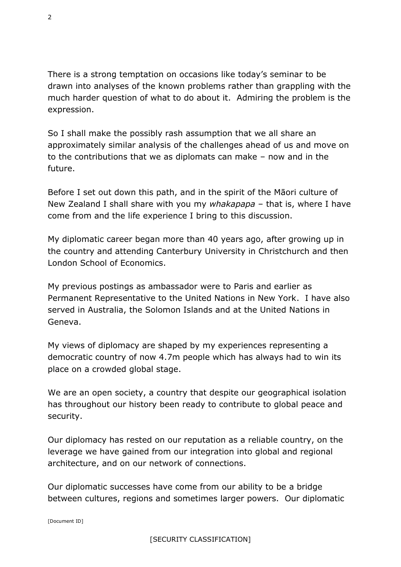There is a strong temptation on occasions like today's seminar to be drawn into analyses of the known problems rather than grappling with the much harder question of what to do about it. Admiring the problem is the expression.

So I shall make the possibly rash assumption that we all share an approximately similar analysis of the challenges ahead of us and move on to the contributions that we as diplomats can make – now and in the future.

Before I set out down this path, and in the spirit of the Māori culture of New Zealand I shall share with you my *whakapapa* – that is, where I have come from and the life experience I bring to this discussion.

My diplomatic career began more than 40 years ago, after growing up in the country and attending Canterbury University in Christchurch and then London School of Economics.

My previous postings as ambassador were to Paris and earlier as Permanent Representative to the United Nations in New York. I have also served in Australia, the Solomon Islands and at the United Nations in Geneva.

My views of diplomacy are shaped by my experiences representing a democratic country of now 4.7m people which has always had to win its place on a crowded global stage.

We are an open society, a country that despite our geographical isolation has throughout our history been ready to contribute to global peace and security.

Our diplomacy has rested on our reputation as a reliable country, on the leverage we have gained from our integration into global and regional architecture, and on our network of connections.

Our diplomatic successes have come from our ability to be a bridge between cultures, regions and sometimes larger powers. Our diplomatic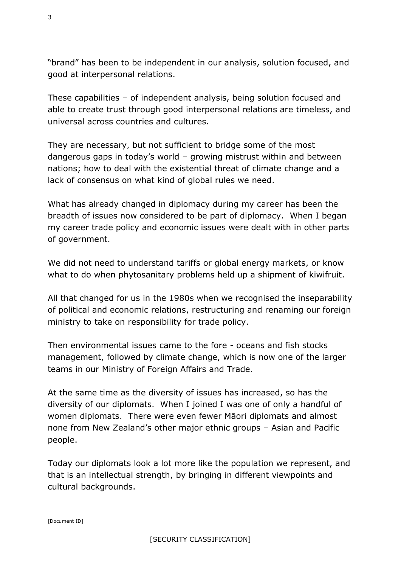"brand" has been to be independent in our analysis, solution focused, and good at interpersonal relations.

These capabilities – of independent analysis, being solution focused and able to create trust through good interpersonal relations are timeless, and universal across countries and cultures.

They are necessary, but not sufficient to bridge some of the most dangerous gaps in today's world – growing mistrust within and between nations; how to deal with the existential threat of climate change and a lack of consensus on what kind of global rules we need.

What has already changed in diplomacy during my career has been the breadth of issues now considered to be part of diplomacy. When I began my career trade policy and economic issues were dealt with in other parts of government.

We did not need to understand tariffs or global energy markets, or know what to do when phytosanitary problems held up a shipment of kiwifruit.

All that changed for us in the 1980s when we recognised the inseparability of political and economic relations, restructuring and renaming our foreign ministry to take on responsibility for trade policy.

Then environmental issues came to the fore - oceans and fish stocks management, followed by climate change, which is now one of the larger teams in our Ministry of Foreign Affairs and Trade.

At the same time as the diversity of issues has increased, so has the diversity of our diplomats. When I joined I was one of only a handful of women diplomats. There were even fewer Māori diplomats and almost none from New Zealand's other major ethnic groups – Asian and Pacific people.

Today our diplomats look a lot more like the population we represent, and that is an intellectual strength, by bringing in different viewpoints and cultural backgrounds.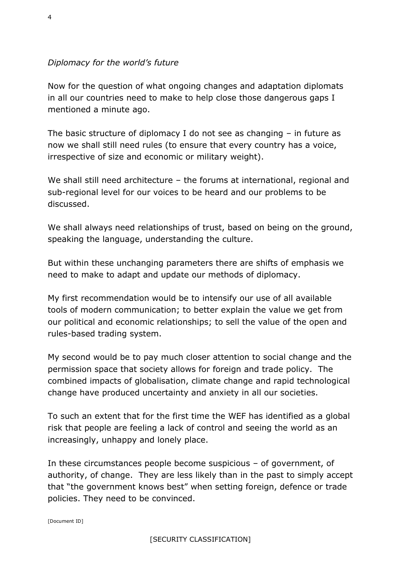## *Diplomacy for the world's future*

Now for the question of what ongoing changes and adaptation diplomats in all our countries need to make to help close those dangerous gaps I mentioned a minute ago.

The basic structure of diplomacy I do not see as changing – in future as now we shall still need rules (to ensure that every country has a voice, irrespective of size and economic or military weight).

We shall still need architecture – the forums at international, regional and sub-regional level for our voices to be heard and our problems to be discussed.

We shall always need relationships of trust, based on being on the ground, speaking the language, understanding the culture.

But within these unchanging parameters there are shifts of emphasis we need to make to adapt and update our methods of diplomacy.

My first recommendation would be to intensify our use of all available tools of modern communication; to better explain the value we get from our political and economic relationships; to sell the value of the open and rules-based trading system.

My second would be to pay much closer attention to social change and the permission space that society allows for foreign and trade policy. The combined impacts of globalisation, climate change and rapid technological change have produced uncertainty and anxiety in all our societies.

To such an extent that for the first time the WEF has identified as a global risk that people are feeling a lack of control and seeing the world as an increasingly, unhappy and lonely place.

In these circumstances people become suspicious – of government, of authority, of change. They are less likely than in the past to simply accept that "the government knows best" when setting foreign, defence or trade policies. They need to be convinced.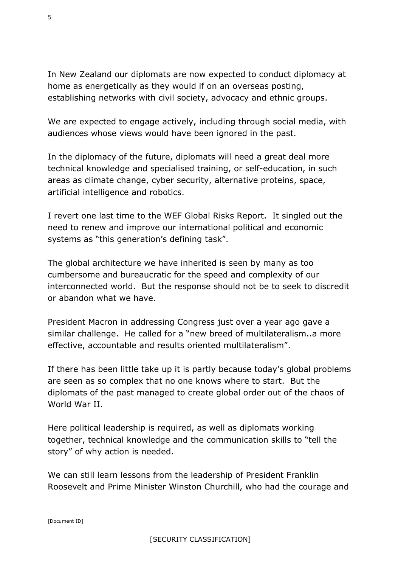In New Zealand our diplomats are now expected to conduct diplomacy at home as energetically as they would if on an overseas posting, establishing networks with civil society, advocacy and ethnic groups.

We are expected to engage actively, including through social media, with audiences whose views would have been ignored in the past.

In the diplomacy of the future, diplomats will need a great deal more technical knowledge and specialised training, or self-education, in such areas as climate change, cyber security, alternative proteins, space, artificial intelligence and robotics.

I revert one last time to the WEF Global Risks Report. It singled out the need to renew and improve our international political and economic systems as "this generation's defining task".

The global architecture we have inherited is seen by many as too cumbersome and bureaucratic for the speed and complexity of our interconnected world. But the response should not be to seek to discredit or abandon what we have.

President Macron in addressing Congress just over a year ago gave a similar challenge. He called for a "new breed of multilateralism..a more effective, accountable and results oriented multilateralism".

If there has been little take up it is partly because today's global problems are seen as so complex that no one knows where to start. But the diplomats of the past managed to create global order out of the chaos of World War II.

Here political leadership is required, as well as diplomats working together, technical knowledge and the communication skills to "tell the story" of why action is needed.

We can still learn lessons from the leadership of President Franklin Roosevelt and Prime Minister Winston Churchill, who had the courage and